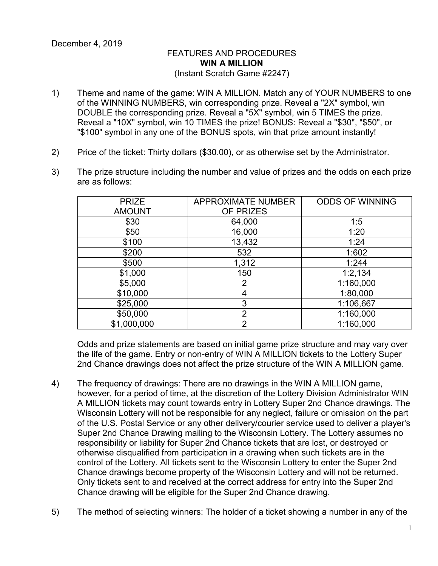## FEATURES AND PROCEDURES **WIN A MILLION** (Instant Scratch Game #2247)

- 1) Theme and name of the game: WIN A MILLION. Match any of YOUR NUMBERS to one of the WINNING NUMBERS, win corresponding prize. Reveal a "2X" symbol, win DOUBLE the corresponding prize. Reveal a "5X" symbol, win 5 TIMES the prize. Reveal a "10X" symbol, win 10 TIMES the prize! BONUS: Reveal a "\$30", "\$50", or "\$100" symbol in any one of the BONUS spots, win that prize amount instantly!
- 2) Price of the ticket: Thirty dollars (\$30.00), or as otherwise set by the Administrator.
- 3) The prize structure including the number and value of prizes and the odds on each prize are as follows:

| <b>PRIZE</b>  | <b>APPROXIMATE NUMBER</b> | <b>ODDS OF WINNING</b> |
|---------------|---------------------------|------------------------|
| <b>AMOUNT</b> | OF PRIZES                 |                        |
| \$30          | 64,000                    | 1:5                    |
| \$50          | 16,000                    | 1:20                   |
| \$100         | 13,432                    | 1:24                   |
| \$200         | 532                       | 1:602                  |
| \$500         | 1,312                     | 1:244                  |
| \$1,000       | 150                       | 1:2,134                |
| \$5,000       | 2                         | 1:160,000              |
| \$10,000      | 4                         | 1:80,000               |
| \$25,000      | 3                         | 1:106,667              |
| \$50,000      | $\overline{2}$            | 1:160,000              |
| \$1,000,000   | $\overline{2}$            | 1:160,000              |

Odds and prize statements are based on initial game prize structure and may vary over the life of the game. Entry or non-entry of WIN A MILLION tickets to the Lottery Super 2nd Chance drawings does not affect the prize structure of the WIN A MILLION game.

- 4) The frequency of drawings: There are no drawings in the WIN A MILLION game, however, for a period of time, at the discretion of the Lottery Division Administrator WIN A MILLION tickets may count towards entry in Lottery Super 2nd Chance drawings. The Wisconsin Lottery will not be responsible for any neglect, failure or omission on the part of the U.S. Postal Service or any other delivery/courier service used to deliver a player's Super 2nd Chance Drawing mailing to the Wisconsin Lottery. The Lottery assumes no responsibility or liability for Super 2nd Chance tickets that are lost, or destroyed or otherwise disqualified from participation in a drawing when such tickets are in the control of the Lottery. All tickets sent to the Wisconsin Lottery to enter the Super 2nd Chance drawings become property of the Wisconsin Lottery and will not be returned. Only tickets sent to and received at the correct address for entry into the Super 2nd Chance drawing will be eligible for the Super 2nd Chance drawing.
- 5) The method of selecting winners: The holder of a ticket showing a number in any of the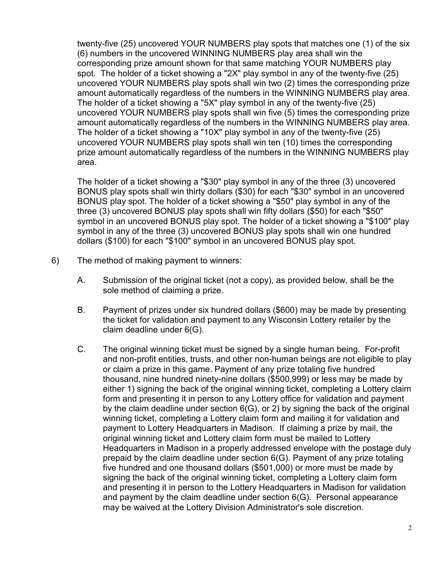twenty-five (25) uncovered YOUR NUMBERS play spots that matches one (1) of the six (6) numbers in the uncovered WINNING NUMBERS play area shall win the corresponding prize amount shown for that same matching YOUR NUMBERS play spot. The holder of a ticket showing a "2X" play symbol in any of the twenty-five (25) uncovered YOUR NUMBERS play spots shall win two (2) times the corresponding prize amount automatically regardless of the numbers in the WINNING NUMBERS play area. The holder of a ticket showing a "5X" play symbol in any of the twenty-five (25) uncovered YOUR NUMBERS play spots shall win five (5) times the corresponding prize amount automatically regardless of the numbers in the WINNING NUMBERS play area. The holder of a ticket showing a "10X" play symbol in any of the twenty-five (25) uncovered YOUR NUMBERS play spots shall win ten (10) times the corresponding prize amount automatically regardless of the numbers in the WINNING NUMBERS play area.

The holder of a ticket showing a "\$30" play symbol in any of the three (3) uncovered BONUS play spots shall win thirty dollars (\$30) for each "\$30" symbol in an uncovered BONUS play spot. The holder of a ticket showing a "\$50" play symbol in any of the three (3) uncovered BONUS play spots shall win fifty dollars (\$50) for each "\$50" symbol in an uncovered BONUS play spot. The holder of a ticket showing a "\$100" play symbol in any of the three (3) uncovered BONUS play spots shall win one hundred dollars (\$100) for each "\$100" symbol in an uncovered BONUS play spot.

- 6) The method of making payment to winners:
	- A. Submission of the original ticket (not a copy), as provided below, shall be the sole method of claiming a prize.
	- B. Payment of prizes under six hundred dollars (\$600) may be made by presenting the ticket for validation and payment to any Wisconsin Lottery retailer by the claim deadline under 6(G).
	- C. The original winning ticket must be signed by a single human being. For-profit and non-profit entities, trusts, and other non-human beings are not eligible to play or claim a prize in this game. Payment of any prize totaling five hundred thousand, nine hundred ninety-nine dollars (\$500,999) or less may be made by either 1) signing the back of the original winning ticket, completing a Lottery claim form and presenting it in person to any Lottery office for validation and payment by the claim deadline under section 6(G), or 2) by signing the back of the original winning ticket, completing a Lottery claim form and mailing it for validation and payment to Lottery Headquarters in Madison. If claiming a prize by mail, the original winning ticket and Lottery claim form must be mailed to Lottery Headquarters in Madison in a properly addressed envelope with the postage duly prepaid by the claim deadline under section 6(G). Payment of any prize totaling five hundred and one thousand dollars (\$501,000) or more must be made by signing the back of the original winning ticket, completing a Lottery claim form and presenting it in person to the Lottery Headquarters in Madison for validation and payment by the claim deadline under section 6(G). Personal appearance may be waived at the Lottery Division Administrator's sole discretion.